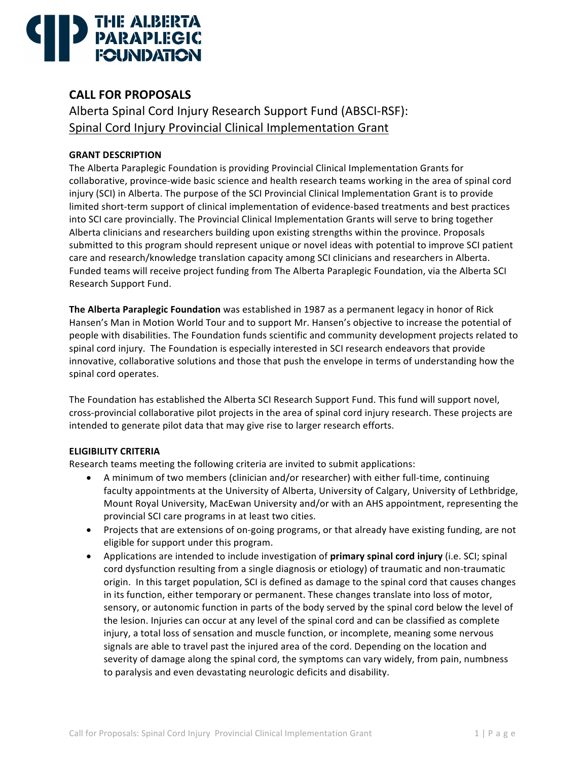# THE ALBERTA

# **CALL FOR PROPOSALS**

Alberta Spinal Cord Injury Research Support Fund (ABSCI-RSF): Spinal Cord Injury Provincial Clinical Implementation Grant

# **GRANT DESCRIPTION**

The Alberta Paraplegic Foundation is providing Provincial Clinical Implementation Grants for collaborative, province-wide basic science and health research teams working in the area of spinal cord injury (SCI) in Alberta. The purpose of the SCI Provincial Clinical Implementation Grant is to provide limited short-term support of clinical implementation of evidence-based treatments and best practices into SCI care provincially. The Provincial Clinical Implementation Grants will serve to bring together Alberta clinicians and researchers building upon existing strengths within the province. Proposals submitted to this program should represent unique or novel ideas with potential to improve SCI patient care and research/knowledge translation capacity among SCI clinicians and researchers in Alberta. Funded teams will receive project funding from The Alberta Paraplegic Foundation, via the Alberta SCI Research Support Fund.

**The Alberta Paraplegic Foundation** was established in 1987 as a permanent legacy in honor of Rick Hansen's Man in Motion World Tour and to support Mr. Hansen's objective to increase the potential of people with disabilities. The Foundation funds scientific and community development projects related to spinal cord injury. The Foundation is especially interested in SCI research endeavors that provide innovative, collaborative solutions and those that push the envelope in terms of understanding how the spinal cord operates.

The Foundation has established the Alberta SCI Research Support Fund. This fund will support novel, cross-provincial collaborative pilot projects in the area of spinal cord injury research. These projects are intended to generate pilot data that may give rise to larger research efforts.

# **ELIGIBILITY CRITERIA**

Research teams meeting the following criteria are invited to submit applications:

- A minimum of two members (clinician and/or researcher) with either full-time, continuing faculty appointments at the University of Alberta, University of Calgary, University of Lethbridge, Mount Royal University, MacEwan University and/or with an AHS appointment, representing the provincial SCI care programs in at least two cities.
- Projects that are extensions of on-going programs, or that already have existing funding, are not eligible for support under this program.
- Applications are intended to include investigation of **primary spinal cord injury** (i.e. SCI; spinal cord dysfunction resulting from a single diagnosis or etiology) of traumatic and non-traumatic origin. In this target population, SCI is defined as damage to the spinal cord that causes changes in its function, either temporary or permanent. These changes translate into loss of motor, sensory, or autonomic function in parts of the body served by the spinal cord below the level of the lesion. Injuries can occur at any level of the spinal cord and can be classified as complete injury, a total loss of sensation and muscle function, or incomplete, meaning some nervous signals are able to travel past the injured area of the cord. Depending on the location and severity of damage along the spinal cord, the symptoms can vary widely, from pain, numbness to paralysis and even devastating neurologic deficits and disability.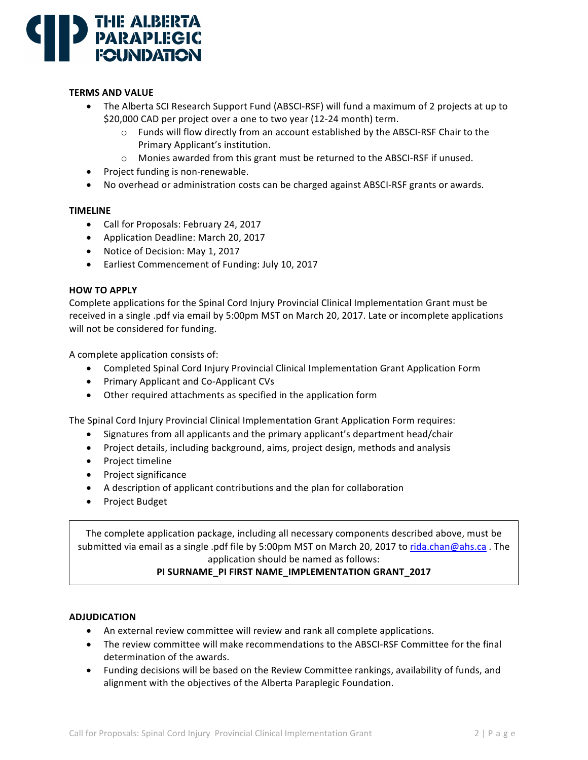

### **TERMS AND VALUE**

- The Alberta SCI Research Support Fund (ABSCI-RSF) will fund a maximum of 2 projects at up to \$20,000 CAD per project over a one to two year (12-24 month) term.
	- $\circ$  Funds will flow directly from an account established by the ABSCI-RSF Chair to the Primary Applicant's institution.
	- $\circ$  Monies awarded from this grant must be returned to the ABSCI-RSF if unused.
- Project funding is non-renewable.
- No overhead or administration costs can be charged against ABSCI-RSF grants or awards.

#### **TIMELINE**

- Call for Proposals: February 24, 2017
- Application Deadline: March 20, 2017
- Notice of Decision: May 1, 2017
- Earliest Commencement of Funding: July 10, 2017

#### **HOW TO APPLY**

Complete applications for the Spinal Cord Injury Provincial Clinical Implementation Grant must be received in a single .pdf via email by 5:00pm MST on March 20, 2017. Late or incomplete applications will not be considered for funding.

A complete application consists of:

- Completed Spinal Cord Injury Provincial Clinical Implementation Grant Application Form
- Primary Applicant and Co-Applicant CVs
- Other required attachments as specified in the application form

The Spinal Cord Injury Provincial Clinical Implementation Grant Application Form requires:

- Signatures from all applicants and the primary applicant's department head/chair
- Project details, including background, aims, project design, methods and analysis
- Project timeline
- Project significance
- A description of applicant contributions and the plan for collaboration
- Project Budget

The complete application package, including all necessary components described above, must be submitted via email as a single .pdf file by 5:00pm MST on March 20, 2017 to rida.chan@ahs.ca . The application should be named as follows:

# PI SURNAME\_PI FIRST NAME\_IMPLEMENTATION GRANT\_2017

#### **ADJUDICATION**

- An external review committee will review and rank all complete applications.
- The review committee will make recommendations to the ABSCI-RSF Committee for the final determination of the awards.
- Funding decisions will be based on the Review Committee rankings, availability of funds, and alignment with the objectives of the Alberta Paraplegic Foundation.